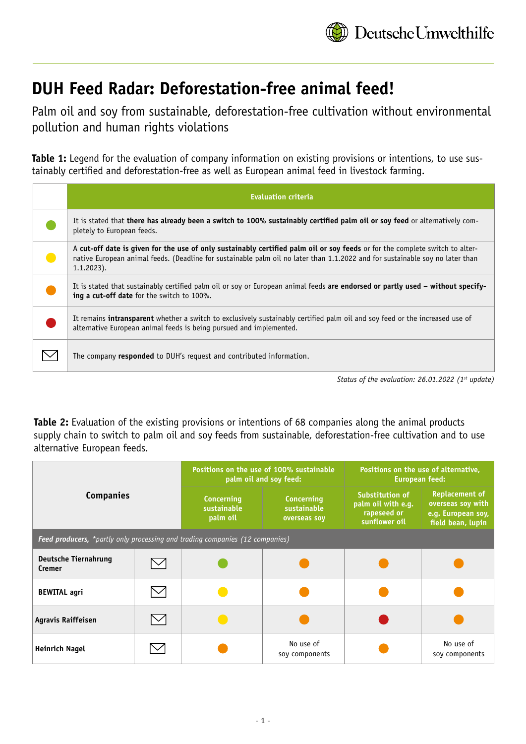

## **DUH Feed Radar: Deforestation-free animal feed!**

Palm oil and soy from sustainable, deforestation-free cultivation without environmental pollution and human rights violations

**Table 1:** Legend for the evaluation of company information on existing provisions or intentions, to use sustainably certified and deforestation-free as well as European animal feed in livestock farming.

| <b>Evaluation criteria</b>                                                                                                                                                                                                                                                     |
|--------------------------------------------------------------------------------------------------------------------------------------------------------------------------------------------------------------------------------------------------------------------------------|
| It is stated that there has already been a switch to 100% sustainably certified palm oil or soy feed or alternatively com-<br>pletely to European feeds.                                                                                                                       |
| A cut-off date is given for the use of only sustainably certified palm oil or soy feeds or for the complete switch to alter-<br>native European animal feeds. (Deadline for sustainable palm oil no later than 1.1.2022 and for sustainable soy no later than<br>$1.1.2023$ ). |
| It is stated that sustainably certified palm oil or soy or European animal feeds are endorsed or partly used – without specify-<br>ing a cut-off date for the switch to 100%.                                                                                                  |
| It remains intransparent whether a switch to exclusively sustainably certified palm oil and soy feed or the increased use of<br>alternative European animal feeds is being pursued and implemented.                                                                            |
| The company <b>responded</b> to DUH's request and contributed information.                                                                                                                                                                                                     |
|                                                                                                                                                                                                                                                                                |

*Status of the evaluation: 26.01.2022 (1st update)*

**Table 2:** Evaluation of the existing provisions or intentions of 68 companies along the animal products supply chain to switch to palm oil and soy feeds from sustainable, deforestation-free cultivation and to use alternative European feeds.

| <b>Companies</b>                                                             |  | Positions on the use of 100% sustainable<br>palm oil and soy feed: |                                                  | Positions on the use of alternative,<br><b>European feed:</b>         |                                                                                       |  |
|------------------------------------------------------------------------------|--|--------------------------------------------------------------------|--------------------------------------------------|-----------------------------------------------------------------------|---------------------------------------------------------------------------------------|--|
|                                                                              |  | <b>Concerning</b><br>sustainable<br>palm oil                       | <b>Concerning</b><br>sustainable<br>overseas soy | Substitution of<br>palm oil with e.g.<br>rapeseed or<br>sunflower oil | <b>Replacement of</b><br>overseas soy with<br>e.g. European soy,<br>field bean, lupin |  |
| Feed producers, *partly only processing and trading companies (12 companies) |  |                                                                    |                                                  |                                                                       |                                                                                       |  |
| <b>Deutsche Tiernahrung</b><br>Cremer                                        |  |                                                                    |                                                  |                                                                       |                                                                                       |  |
| <b>BEWITAL agri</b>                                                          |  |                                                                    |                                                  |                                                                       |                                                                                       |  |
| <b>Agravis Raiffeisen</b>                                                    |  |                                                                    |                                                  |                                                                       |                                                                                       |  |
| Heinrich Nagel                                                               |  |                                                                    | No use of<br>soy components                      |                                                                       | No use of<br>soy components                                                           |  |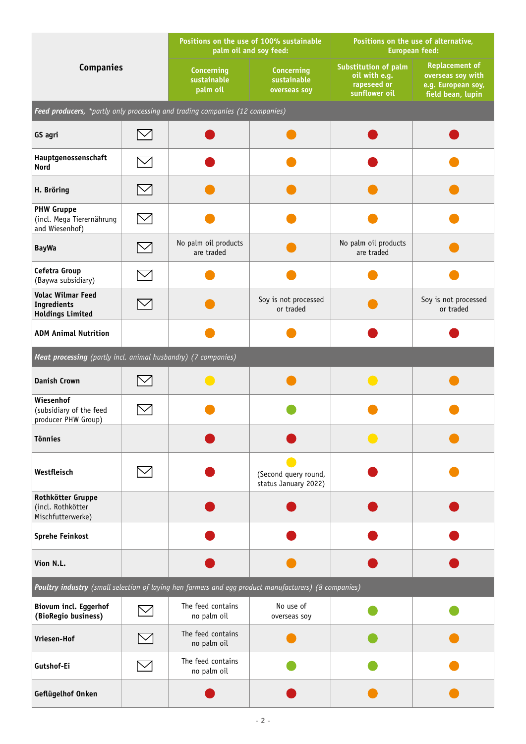| <b>Companies</b>                                                                                     |  | Positions on the use of 100% sustainable<br>palm oil and soy feed: |                                                  | Positions on the use of alternative,<br>European feed:                       |                                                                                       |
|------------------------------------------------------------------------------------------------------|--|--------------------------------------------------------------------|--------------------------------------------------|------------------------------------------------------------------------------|---------------------------------------------------------------------------------------|
|                                                                                                      |  | <b>Concerning</b><br>sustainable<br>palm oil                       | <b>Concerning</b><br>sustainable<br>overseas soy | <b>Substitution of palm</b><br>oil with e.g.<br>rapeseed or<br>sunflower oil | <b>Replacement of</b><br>overseas soy with<br>e.g. European soy,<br>field bean, lupin |
| Feed producers, *partly only processing and trading companies (12 companies)                         |  |                                                                    |                                                  |                                                                              |                                                                                       |
| GS agri                                                                                              |  |                                                                    |                                                  |                                                                              |                                                                                       |
| Hauptgenossenschaft<br><b>Nord</b>                                                                   |  |                                                                    |                                                  |                                                                              |                                                                                       |
| H. Bröring                                                                                           |  |                                                                    |                                                  |                                                                              |                                                                                       |
| <b>PHW Gruppe</b><br>(incl. Mega Tierernährung<br>and Wiesenhof)                                     |  |                                                                    |                                                  |                                                                              |                                                                                       |
| <b>BayWa</b>                                                                                         |  | No palm oil products<br>are traded                                 |                                                  | No palm oil products<br>are traded                                           |                                                                                       |
| Cefetra Group<br>(Baywa subsidiary)                                                                  |  |                                                                    |                                                  |                                                                              |                                                                                       |
| <b>Volac Wilmar Feed</b><br>Ingredients<br><b>Holdings Limited</b>                                   |  |                                                                    | Soy is not processed<br>or traded                |                                                                              | Soy is not processed<br>or traded                                                     |
| <b>ADM Animal Nutrition</b>                                                                          |  |                                                                    |                                                  |                                                                              |                                                                                       |
| Meat processing (partly incl. animal husbandry) (7 companies)                                        |  |                                                                    |                                                  |                                                                              |                                                                                       |
| <b>Danish Crown</b>                                                                                  |  |                                                                    |                                                  |                                                                              |                                                                                       |
| Wiesenhof<br>(subsidiary of the feed<br>producer PHW Group)                                          |  |                                                                    |                                                  |                                                                              |                                                                                       |
| <b>Tönnies</b>                                                                                       |  |                                                                    |                                                  |                                                                              |                                                                                       |
| Westfleisch                                                                                          |  |                                                                    | (Second query round,<br>status January 2022)     |                                                                              |                                                                                       |
| Rothkötter Gruppe<br>(incl. Rothkötter<br>Mischfutterwerke)                                          |  |                                                                    |                                                  |                                                                              |                                                                                       |
| <b>Sprehe Feinkost</b>                                                                               |  |                                                                    |                                                  |                                                                              |                                                                                       |
| Vion N.L.                                                                                            |  |                                                                    |                                                  |                                                                              |                                                                                       |
| Poultry industry (small selection of laying hen farmers and egg product manufacturers) (8 companies) |  |                                                                    |                                                  |                                                                              |                                                                                       |
| Biovum incl. Eggerhof<br>(BioRegio business)                                                         |  | The feed contains<br>no palm oil                                   | No use of<br>overseas soy                        |                                                                              |                                                                                       |
| Vriesen-Hof                                                                                          |  | The feed contains<br>no palm oil                                   |                                                  |                                                                              |                                                                                       |
| Gutshof-Ei                                                                                           |  | The feed contains<br>no palm oil                                   |                                                  |                                                                              |                                                                                       |
| Geflügelhof Onken                                                                                    |  |                                                                    |                                                  |                                                                              |                                                                                       |

-1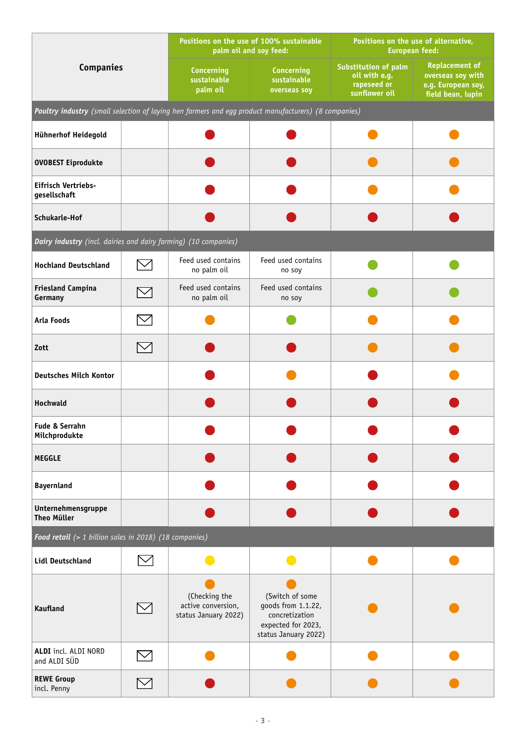| <b>Companies</b>                                                                                     |                | Positions on the use of 100% sustainable<br>palm oil and soy feed: |                                                                                                       | Positions on the use of alternative,<br><b>European feed:</b>         |                                                                                       |  |  |
|------------------------------------------------------------------------------------------------------|----------------|--------------------------------------------------------------------|-------------------------------------------------------------------------------------------------------|-----------------------------------------------------------------------|---------------------------------------------------------------------------------------|--|--|
|                                                                                                      |                | <b>Concerning</b><br>sustainable<br>palm oil                       | <b>Concerning</b><br>sustainable<br>overseas soy                                                      | Substitution of palm<br>oil with e.g.<br>rapeseed or<br>sunflower oil | <b>Replacement of</b><br>overseas soy with<br>e.g. European soy,<br>field bean, lupin |  |  |
| Poultry industry (small selection of laying hen farmers and egg product manufacturers) (8 companies) |                |                                                                    |                                                                                                       |                                                                       |                                                                                       |  |  |
| Hühnerhof Heidegold                                                                                  |                |                                                                    |                                                                                                       |                                                                       |                                                                                       |  |  |
| <b>OVOBEST Eiprodukte</b>                                                                            |                |                                                                    |                                                                                                       |                                                                       |                                                                                       |  |  |
| Eifrisch Vertriebs-<br>gesellschaft                                                                  |                |                                                                    |                                                                                                       |                                                                       |                                                                                       |  |  |
| Schukarle-Hof                                                                                        |                |                                                                    |                                                                                                       |                                                                       |                                                                                       |  |  |
| Dairy industry (incl. dairies and dairy farming) (10 companies)                                      |                |                                                                    |                                                                                                       |                                                                       |                                                                                       |  |  |
| <b>Hochland Deutschland</b>                                                                          |                | Feed used contains<br>no palm oil                                  | Feed used contains<br>no soy                                                                          |                                                                       |                                                                                       |  |  |
| <b>Friesland Campina</b><br>Germany                                                                  |                | Feed used contains<br>no palm oil                                  | Feed used contains<br>no soy                                                                          |                                                                       |                                                                                       |  |  |
| <b>Arla Foods</b>                                                                                    |                |                                                                    |                                                                                                       |                                                                       |                                                                                       |  |  |
| Zott                                                                                                 | $\smash{\vee}$ |                                                                    |                                                                                                       |                                                                       |                                                                                       |  |  |
| <b>Deutsches Milch Kontor</b>                                                                        |                |                                                                    |                                                                                                       |                                                                       |                                                                                       |  |  |
| Hochwald                                                                                             |                |                                                                    |                                                                                                       |                                                                       |                                                                                       |  |  |
| Fude & Serrahn<br>Milchprodukte                                                                      |                |                                                                    |                                                                                                       |                                                                       |                                                                                       |  |  |
| <b>MEGGLE</b>                                                                                        |                |                                                                    |                                                                                                       |                                                                       |                                                                                       |  |  |
| <b>Bayernland</b>                                                                                    |                |                                                                    |                                                                                                       |                                                                       |                                                                                       |  |  |
| Unternehmensgruppe<br><b>Theo Müller</b>                                                             |                |                                                                    |                                                                                                       |                                                                       |                                                                                       |  |  |
| Food retail (> 1 billion sales in 2018) (18 companies)                                               |                |                                                                    |                                                                                                       |                                                                       |                                                                                       |  |  |
| <b>Lidl Deutschland</b>                                                                              |                |                                                                    |                                                                                                       |                                                                       |                                                                                       |  |  |
| <b>Kaufland</b>                                                                                      |                | (Checking the<br>active conversion,<br>status January 2022)        | (Switch of some<br>goods from 1.1.22,<br>concretization<br>expected for 2023,<br>status January 2022) |                                                                       |                                                                                       |  |  |
| ALDI incl. ALDI NORD<br>and ALDI SÜD                                                                 |                |                                                                    |                                                                                                       |                                                                       |                                                                                       |  |  |
| <b>REWE Group</b><br>incl. Penny                                                                     |                |                                                                    |                                                                                                       |                                                                       |                                                                                       |  |  |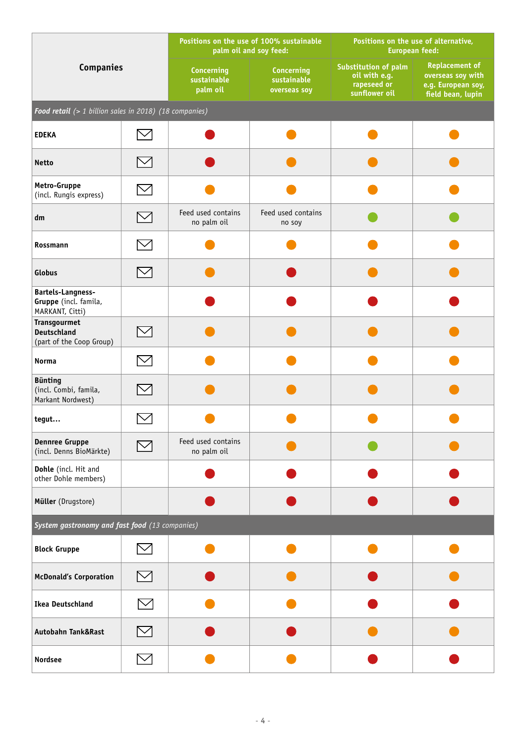| <b>Companies</b>                                                      |             | Positions on the use of 100% sustainable<br>palm oil and soy feed: |                                                  | Positions on the use of alternative,<br><b>European feed:</b>                |                                                                                       |  |  |
|-----------------------------------------------------------------------|-------------|--------------------------------------------------------------------|--------------------------------------------------|------------------------------------------------------------------------------|---------------------------------------------------------------------------------------|--|--|
|                                                                       |             | <b>Concerning</b><br>sustainable<br>palm oil                       | <b>Concerning</b><br>sustainable<br>overseas soy | <b>Substitution of palm</b><br>oil with e.g.<br>rapeseed or<br>sunflower oil | <b>Replacement of</b><br>overseas soy with<br>e.g. European soy,<br>field bean, lupin |  |  |
| Food retail (> 1 billion sales in 2018) (18 companies)                |             |                                                                    |                                                  |                                                                              |                                                                                       |  |  |
| <b>EDEKA</b>                                                          |             |                                                                    |                                                  |                                                                              |                                                                                       |  |  |
| <b>Netto</b>                                                          |             |                                                                    |                                                  |                                                                              |                                                                                       |  |  |
| Metro-Gruppe<br>(incl. Rungis express)                                |             |                                                                    |                                                  |                                                                              |                                                                                       |  |  |
| dm                                                                    |             | Feed used contains<br>no palm oil                                  | Feed used contains<br>no soy                     |                                                                              |                                                                                       |  |  |
| Rossmann                                                              |             |                                                                    |                                                  |                                                                              |                                                                                       |  |  |
| Globus                                                                | $\bowtie$   |                                                                    |                                                  |                                                                              |                                                                                       |  |  |
| <b>Bartels-Langness-</b><br>Gruppe (incl. famila,<br>MARKANT, Citti)  |             |                                                                    |                                                  |                                                                              |                                                                                       |  |  |
| <b>Transgourmet</b><br><b>Deutschland</b><br>(part of the Coop Group) |             |                                                                    |                                                  |                                                                              |                                                                                       |  |  |
| Norma                                                                 |             |                                                                    |                                                  |                                                                              |                                                                                       |  |  |
| <b>Bünting</b><br>(incl. Combi, famila,<br>Markant Nordwest)          |             |                                                                    |                                                  |                                                                              |                                                                                       |  |  |
| tegut                                                                 |             |                                                                    |                                                  |                                                                              |                                                                                       |  |  |
| <b>Dennree Gruppe</b><br>(incl. Denns BioMärkte)                      |             | Feed used contains<br>no palm oil                                  |                                                  |                                                                              |                                                                                       |  |  |
| Dohle (incl. Hit and<br>other Dohle members)                          |             |                                                                    |                                                  |                                                                              |                                                                                       |  |  |
| Müller (Drugstore)                                                    |             |                                                                    |                                                  |                                                                              |                                                                                       |  |  |
| System gastronomy and fast food (13 companies)                        |             |                                                                    |                                                  |                                                                              |                                                                                       |  |  |
| <b>Block Gruppe</b>                                                   |             |                                                                    |                                                  |                                                                              |                                                                                       |  |  |
| <b>McDonald's Corporation</b>                                         | $\boxtimes$ |                                                                    |                                                  |                                                                              |                                                                                       |  |  |
| <b>Ikea Deutschland</b>                                               |             |                                                                    |                                                  |                                                                              |                                                                                       |  |  |
| Autobahn Tank&Rast                                                    | $\bowtie$   |                                                                    |                                                  |                                                                              |                                                                                       |  |  |
| <b>Nordsee</b>                                                        |             |                                                                    |                                                  |                                                                              |                                                                                       |  |  |